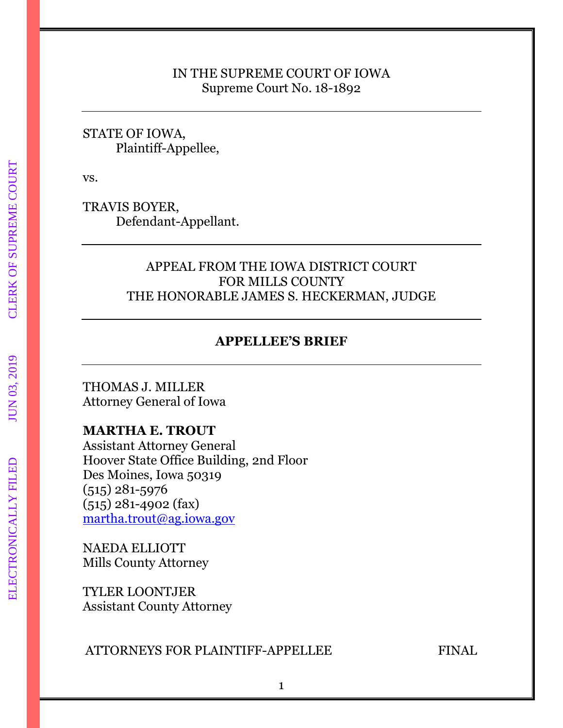## IN THE SUPREME COURT OF IOWA Supreme Court No. 18-1892

## STATE OF IOWA, Plaintiff-Appellee,

vs.

TRAVIS BOYER, Defendant-Appellant.

# APPEAL FROM THE IOWA DISTRICT COURT FOR MILLS COUNTY THE HONORABLE JAMES S. HECKERMAN, JUDGE

# **APPELLEE'S BRIEF**

THOMAS J. MILLER Attorney General of Iowa

# **MARTHA E. TROUT**

Assistant Attorney General Hoover State Office Building, 2nd Floor Des Moines, Iowa 50319 (515) 281-5976 (515) 281-4902 (fax) [martha.trout@ag.iowa.gov](mailto:martha.trout@ag.iowa.gov)

NAEDA ELLIOTT Mills County Attorney

TYLER LOONTJER Assistant County Attorney

# ATTORNEYS FOR PLAINTIFF-APPELLEE FINAL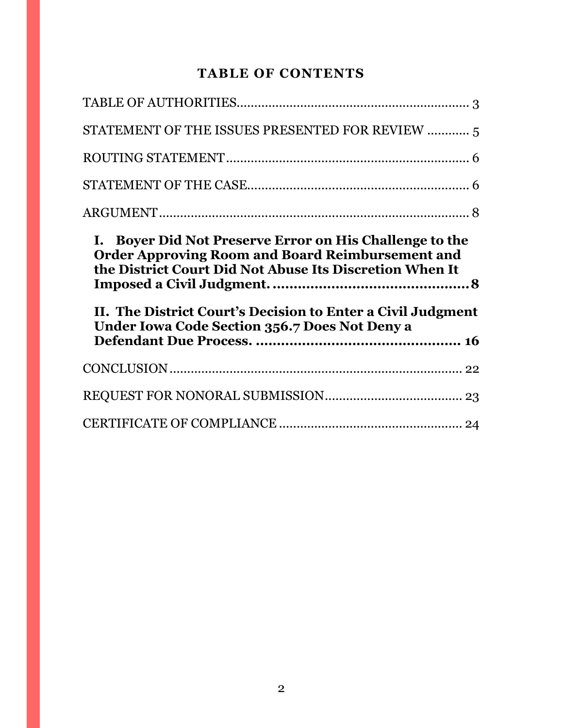# **TABLE OF CONTENTS**

| STATEMENT OF THE ISSUES PRESENTED FOR REVIEW  5                                                                                                                                                                                           |  |
|-------------------------------------------------------------------------------------------------------------------------------------------------------------------------------------------------------------------------------------------|--|
|                                                                                                                                                                                                                                           |  |
|                                                                                                                                                                                                                                           |  |
|                                                                                                                                                                                                                                           |  |
| I. Boyer Did Not Preserve Error on His Challenge to the                                                                                                                                                                                   |  |
| <b>Order Approving Room and Board Reimbursement and</b><br>the District Court Did Not Abuse Its Discretion When It<br>II. The District Court's Decision to Enter a Civil Judgment<br><b>Under Iowa Code Section 356.7 Does Not Deny a</b> |  |
|                                                                                                                                                                                                                                           |  |
|                                                                                                                                                                                                                                           |  |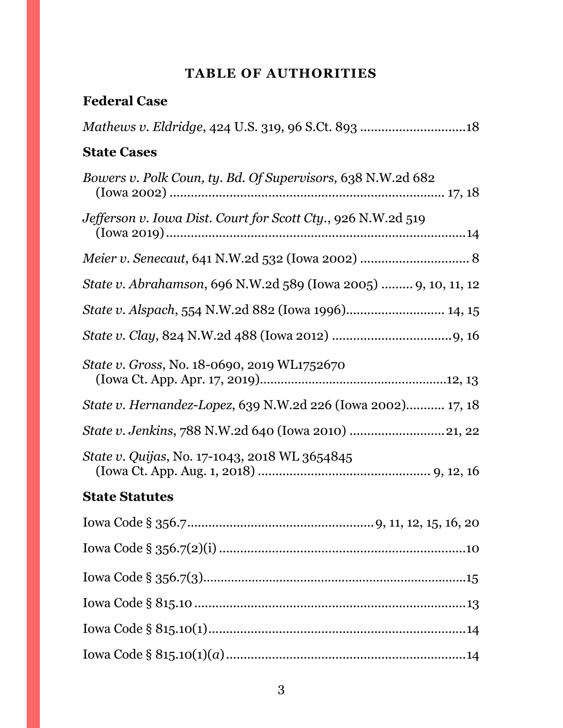# **TABLE OF AUTHORITIES**

# <span id="page-2-0"></span>**Federal Case**

| <b>State Cases</b>                                                    |
|-----------------------------------------------------------------------|
| Bowers v. Polk Coun, ty. Bd. Of Supervisors, 638 N.W.2d 682           |
| Jefferson v. Iowa Dist. Court for Scott Cty., 926 N.W.2d 519          |
|                                                                       |
| <i>State v. Abrahamson, 696 N.W.2d 589 (Iowa 2005)  9, 10, 11, 12</i> |
| State v. Alspach, 554 N.W.2d 882 (Iowa 1996) 14, 15                   |
|                                                                       |
| <i>State v. Gross, No. 18-0690, 2019 WL1752670</i>                    |
| State v. Hernandez-Lopez, 639 N.W.2d 226 (Iowa 2002) 17, 18           |
|                                                                       |
| State v. Quijas, No. 17-1043, 2018 WL 3654845                         |
| <b>State Statutes</b>                                                 |
| 9, 11, 12, 15, 16, 20                                                 |
|                                                                       |
|                                                                       |
|                                                                       |
|                                                                       |
|                                                                       |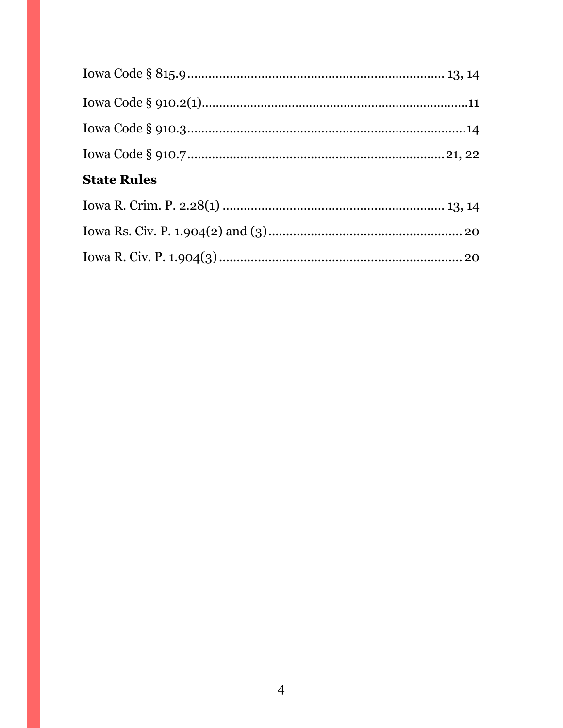| <b>State Rules</b> |  |
|--------------------|--|
|                    |  |
|                    |  |
|                    |  |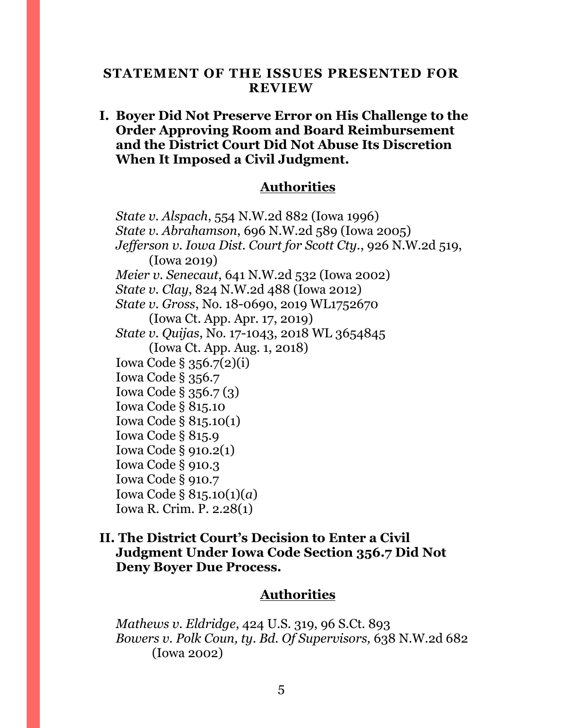#### <span id="page-4-0"></span>**STATEMENT OF THE ISSUES PRESENTED FOR REVIEW**

# **I. Boyer Did Not Preserve Error on His Challenge to the Order Approving Room and Board Reimbursement and the District Court Did Not Abuse Its Discretion When It Imposed a Civil Judgment.**

## **Authorities**

*State v. Alspach*, 554 N.W.2d 882 (Iowa 1996) *State v. Abrahamson*, 696 N.W.2d 589 (Iowa 2005) *Jefferson v. Iowa Dist. Court for Scott Cty.*, 926 N.W.2d 519, (Iowa 2019) *Meier v. Senecaut*, 641 N.W.2d 532 (Iowa 2002) *State v. Clay*, 824 N.W.2d 488 (Iowa 2012) *State v. Gross*, No. 18-0690, 2o19 WL1752670 (Iowa Ct. App. Apr. 17, 2019) *State v. Quijas*, No. 17-1043, 2018 WL 3654845 (Iowa Ct. App. Aug. 1, 2018) Iowa Code § 356.7(2)(i) Iowa Code § 356.7 Iowa Code § 356.7 (3) Iowa Code § 815.10 Iowa Code § 815.10(1) Iowa Code § 815.9 Iowa Code § 910.2(1) Iowa Code § 910.3 Iowa Code § 910.7 Iowa Code § 815.10(1)(*a*) Iowa R. Crim. P. 2.28(1)

## **II. The District Court's Decision to Enter a Civil Judgment Under Iowa Code Section 356.7 Did Not Deny Boyer Due Process.**

#### **Authorities**

*Mathews v. Eldridge*, 424 U.S. 319, 96 S.Ct. 893 *Bowers v. Polk Coun, ty. Bd. Of Supervisors,* 638 N.W.2d 682 (Iowa 2002)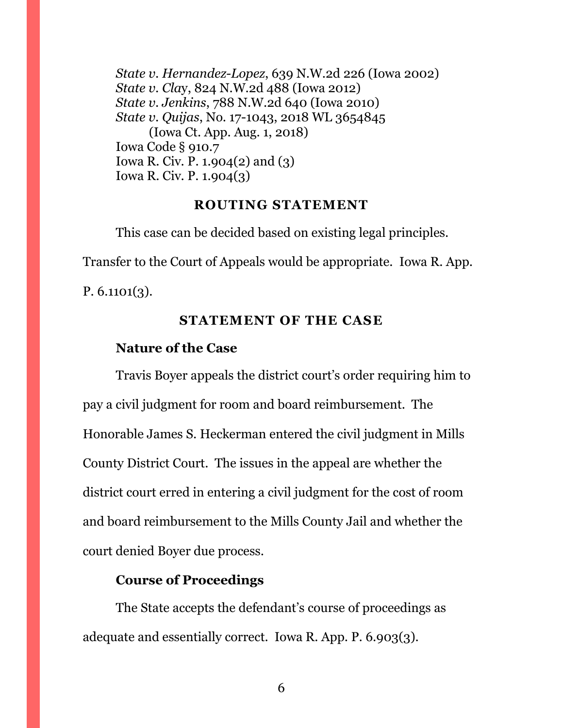*State v. Hernandez-Lopez*, 639 N.W.2d 226 (Iowa 2002) *State v. Cla*y, 824 N.W.2d 488 (Iowa 2012) *State v. Jenkins*, 788 N.W.2d 640 (Iowa 2010) *State v. Quijas*, No. 17-1043, 2018 WL 3654845 (Iowa Ct. App. Aug. 1, 2018) Iowa Code § 910.7 Iowa R. Civ. P. 1.904(2) and (3) Iowa R. Civ. P. 1.904(3)

#### **ROUTING STATEMENT**

<span id="page-5-0"></span>This case can be decided based on existing legal principles.

Transfer to the Court of Appeals would be appropriate. Iowa R. App.

<span id="page-5-1"></span>P.  $6.1101(3)$ .

#### **STATEMENT OF THE CASE**

### **Nature of the Case**

Travis Boyer appeals the district court's order requiring him to pay a civil judgment for room and board reimbursement. The Honorable James S. Heckerman entered the civil judgment in Mills County District Court. The issues in the appeal are whether the district court erred in entering a civil judgment for the cost of room and board reimbursement to the Mills County Jail and whether the court denied Boyer due process.

## **Course of Proceedings**

The State accepts the defendant's course of proceedings as adequate and essentially correct. Iowa R. App. P. 6.903(3).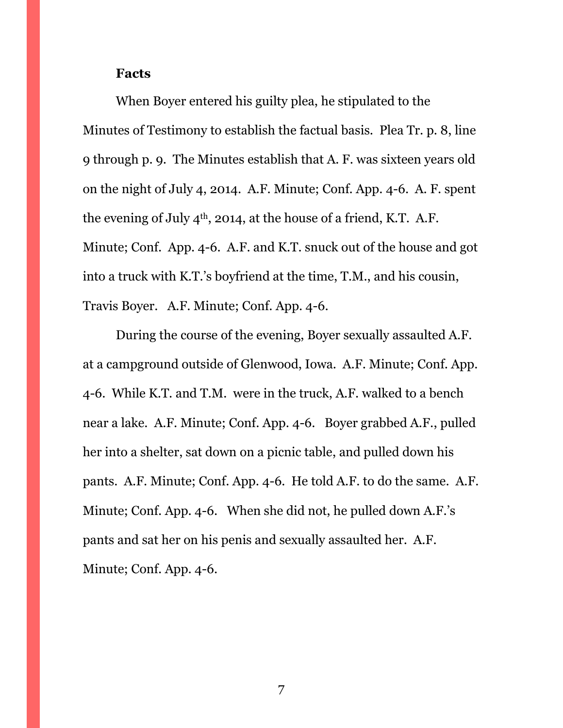#### **Facts**

When Boyer entered his guilty plea, he stipulated to the Minutes of Testimony to establish the factual basis. Plea Tr. p. 8, line 9 through p. 9. The Minutes establish that A. F. was sixteen years old on the night of July 4, 2014. A.F. Minute; Conf. App. 4-6. A. F. spent the evening of July  $4<sup>th</sup>$ , 2014, at the house of a friend, K.T. A.F. Minute; Conf. App. 4-6. A.F. and K.T. snuck out of the house and got into a truck with K.T.'s boyfriend at the time, T.M., and his cousin, Travis Boyer. A.F. Minute; Conf. App. 4-6.

During the course of the evening, Boyer sexually assaulted A.F. at a campground outside of Glenwood, Iowa. A.F. Minute; Conf. App. 4-6. While K.T. and T.M. were in the truck, A.F. walked to a bench near a lake. A.F. Minute; Conf. App. 4-6. Boyer grabbed A.F., pulled her into a shelter, sat down on a picnic table, and pulled down his pants. A.F. Minute; Conf. App. 4-6. He told A.F. to do the same. A.F. Minute; Conf. App. 4-6. When she did not, he pulled down A.F.'s pants and sat her on his penis and sexually assaulted her. A.F. Minute; Conf. App. 4-6.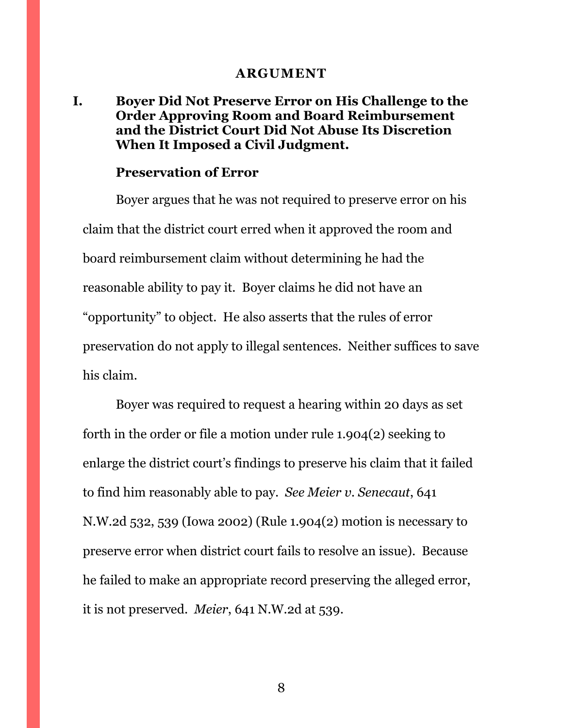#### **ARGUMENT**

# <span id="page-7-1"></span><span id="page-7-0"></span>**I. Boyer Did Not Preserve Error on His Challenge to the Order Approving Room and Board Reimbursement and the District Court Did Not Abuse Its Discretion When It Imposed a Civil Judgment.**

#### **Preservation of Error**

Boyer argues that he was not required to preserve error on his claim that the district court erred when it approved the room and board reimbursement claim without determining he had the reasonable ability to pay it. Boyer claims he did not have an "opportunity" to object. He also asserts that the rules of error preservation do not apply to illegal sentences. Neither suffices to save his claim.

Boyer was required to request a hearing within 20 days as set forth in the order or file a motion under rule 1.904(2) seeking to enlarge the district court's findings to preserve his claim that it failed to find him reasonably able to pay. *See Meier v. Senecaut*, 641 N.W.2d 532, 539 (Iowa 2002) (Rule 1.904(2) motion is necessary to preserve error when district court fails to resolve an issue). Because he failed to make an appropriate record preserving the alleged error, it is not preserved. *Meier*, 641 N.W.2d at 539.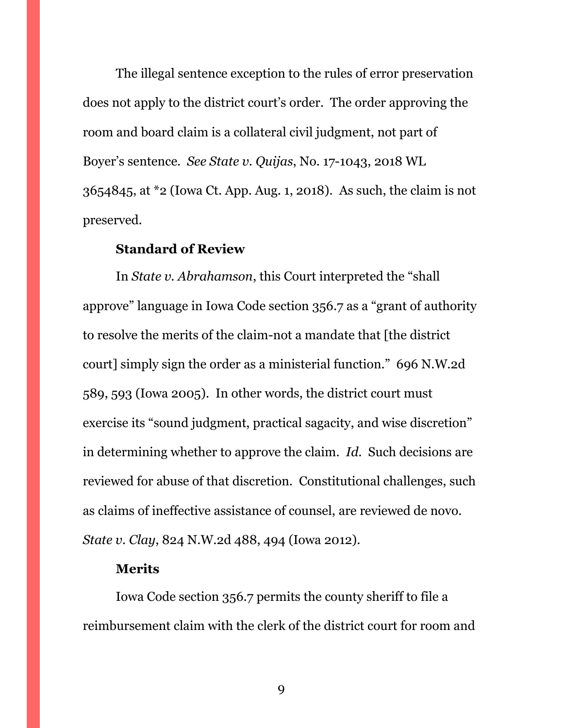The illegal sentence exception to the rules of error preservation does not apply to the district court's order. The order approving the room and board claim is a collateral civil judgment, not part of Boyer's sentence. *See State v. Quijas*, No. 17-1043, 2018 WL 3654845, at \*2 (Iowa Ct. App. Aug. 1, 2018). As such, the claim is not preserved.

#### **Standard of Review**

In *State v. Abrahamson*, this Court interpreted the "shall approve" language in Iowa Code section 356.7 as a "grant of authority to resolve the merits of the claim-not a mandate that [the district court] simply sign the order as a ministerial function." 696 N.W.2d 589, 593 (Iowa 2005). In other words, the district court must exercise its "sound judgment, practical sagacity, and wise discretion" in determining whether to approve the claim. *Id.* Such decisions are reviewed for abuse of that discretion. Constitutional challenges, such as claims of ineffective assistance of counsel, are reviewed de novo. *State v. Clay*, 824 N.W.2d 488, 494 (Iowa 2012).

#### **Merits**

Iowa Code section 356.7 permits the county sheriff to file a reimbursement claim with the clerk of the district court for room and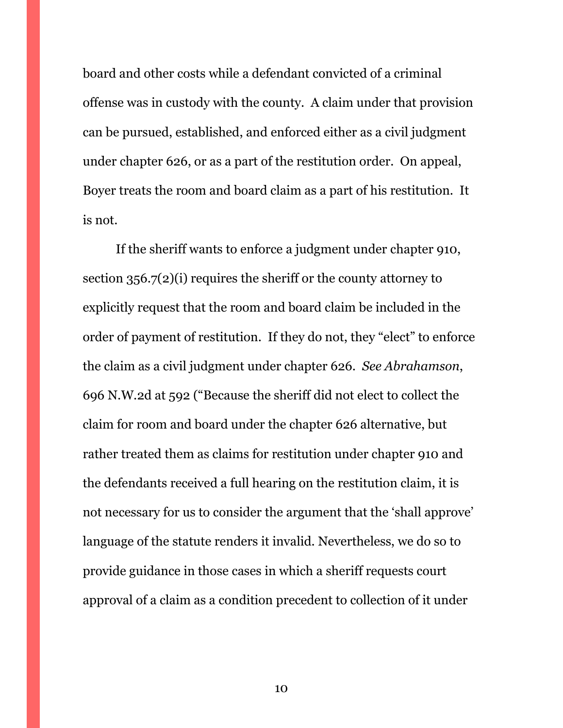board and other costs while a defendant convicted of a criminal offense was in custody with the county. A claim under that provision can be pursued, established, and enforced either as a civil judgment under chapter 626, or as a part of the restitution order. On appeal, Boyer treats the room and board claim as a part of his restitution. It is not.

If the sheriff wants to enforce a judgment under chapter 910, section 356.7(2)(i) requires the sheriff or the county attorney to explicitly request that the room and board claim be included in the order of payment of restitution. If they do not, they "elect" to enforce the claim as a civil judgment under chapter 626. *See Abrahamson*, 696 N.W.2d at 592 ("Because the sheriff did not elect to collect the claim for room and board under the chapter 626 alternative, but rather treated them as claims for restitution under chapter 910 and the defendants received a full hearing on the restitution claim, it is not necessary for us to consider the argument that the 'shall approve' language of the statute renders it invalid. Nevertheless, we do so to provide guidance in those cases in which a sheriff requests court approval of a claim as a condition precedent to collection of it under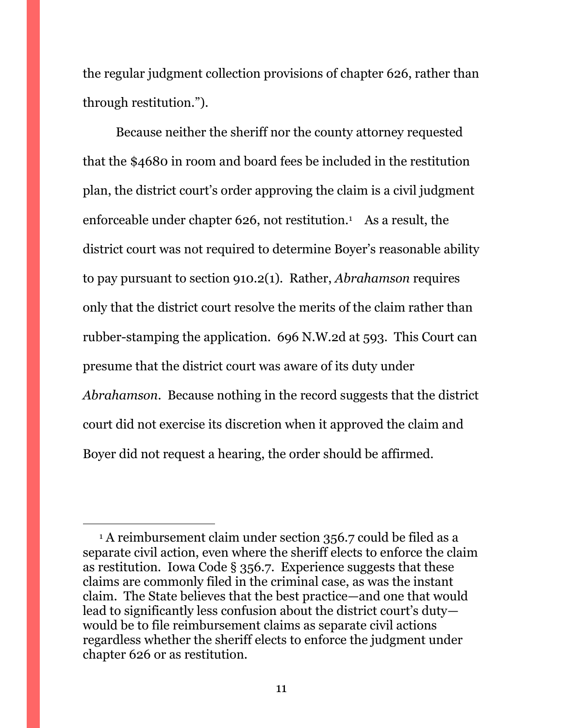the regular judgment collection provisions of chapter 626, rather than through restitution.").

Because neither the sheriff nor the county attorney requested that the \$4680 in room and board fees be included in the restitution plan, the district court's order approving the claim is a civil judgment enforceable under chapter 626, not restitution.<sup>1</sup> As a result, the district court was not required to determine Boyer's reasonable ability to pay pursuant to section 910.2(1). Rather, *Abrahamson* requires only that the district court resolve the merits of the claim rather than rubber-stamping the application. 696 N.W.2d at 593. This Court can presume that the district court was aware of its duty under *Abrahamson*. Because nothing in the record suggests that the district court did not exercise its discretion when it approved the claim and Boyer did not request a hearing, the order should be affirmed.

 $\overline{a}$ 

<sup>&</sup>lt;sup>1</sup> A reimbursement claim under section 356.7 could be filed as a separate civil action, even where the sheriff elects to enforce the claim as restitution. Iowa Code § 356.7. Experience suggests that these claims are commonly filed in the criminal case, as was the instant claim. The State believes that the best practice—and one that would lead to significantly less confusion about the district court's duty would be to file reimbursement claims as separate civil actions regardless whether the sheriff elects to enforce the judgment under chapter 626 or as restitution.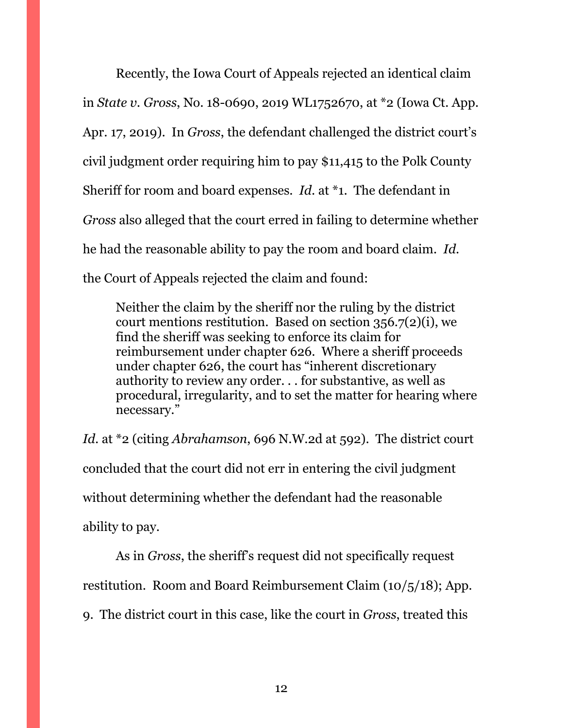Recently, the Iowa Court of Appeals rejected an identical claim in *State v. Gross*, No. 18-0690, 2o19 WL1752670, at \*2 (Iowa Ct. App. Apr. 17, 2019). In *Gross*, the defendant challenged the district court's civil judgment order requiring him to pay \$11,415 to the Polk County Sheriff for room and board expenses. *Id*. at \*1. The defendant in *Gross* also alleged that the court erred in failing to determine whether he had the reasonable ability to pay the room and board claim. *Id.* the Court of Appeals rejected the claim and found:

Neither the claim by the sheriff nor the ruling by the district court mentions restitution. Based on section 356.7(2)(i), we find the sheriff was seeking to enforce its claim for reimbursement under chapter 626. Where a sheriff proceeds under chapter 626, the court has "inherent discretionary authority to review any order. . . for substantive, as well as procedural, irregularity, and to set the matter for hearing where necessary."

*Id*. at \*2 (citing *Abrahamson*, 696 N.W.2d at 592). The district court concluded that the court did not err in entering the civil judgment without determining whether the defendant had the reasonable ability to pay.

As in *Gross*, the sheriff's request did not specifically request restitution. Room and Board Reimbursement Claim (10/5/18); App. 9. The district court in this case, like the court in *Gross*, treated this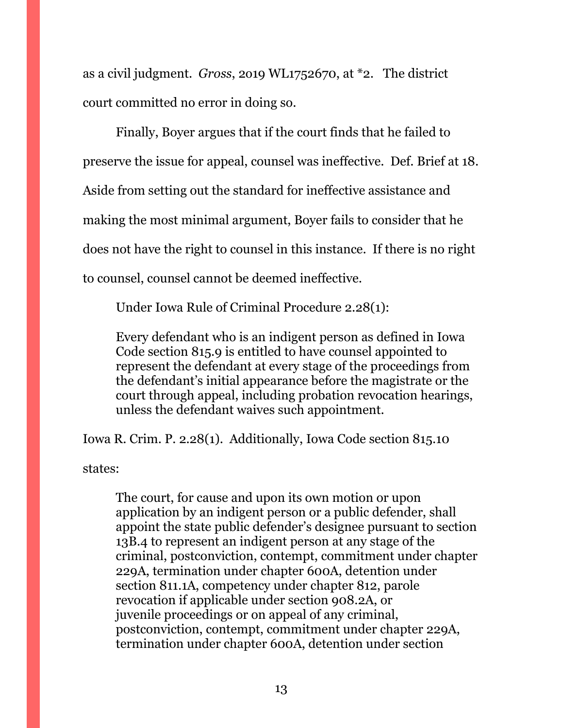as a civil judgment. *Gross*, 2o19 WL1752670, at \*2. The district court committed no error in doing so.

Finally, Boyer argues that if the court finds that he failed to preserve the issue for appeal, counsel was ineffective. Def. Brief at 18. Aside from setting out the standard for ineffective assistance and making the most minimal argument, Boyer fails to consider that he does not have the right to counsel in this instance. If there is no right to counsel, counsel cannot be deemed ineffective.

Under Iowa Rule of Criminal Procedure 2.28(1):

Every defendant who is an indigent person as defined in Iowa Code section 815.9 is entitled to have counsel appointed to represent the defendant at every stage of the proceedings from the defendant's initial appearance before the magistrate or the court through appeal, including probation revocation hearings, unless the defendant waives such appointment.

Iowa R. Crim. P. 2.28(1). Additionally, Iowa Code section 815.10

states:

The court, for cause and upon its own motion or upon application by an indigent person or a public defender, shall appoint the state public defender's designee pursuant to section 13B.4 to represent an indigent person at any stage of the criminal, postconviction, contempt, commitment under chapter 229A, termination under chapter 600A, detention under section 811.1A, competency under chapter 812, parole revocation if applicable under section 908.2A, or juvenile proceedings or on appeal of any criminal, postconviction, contempt, commitment under chapter 229A, termination under chapter 600A, detention under section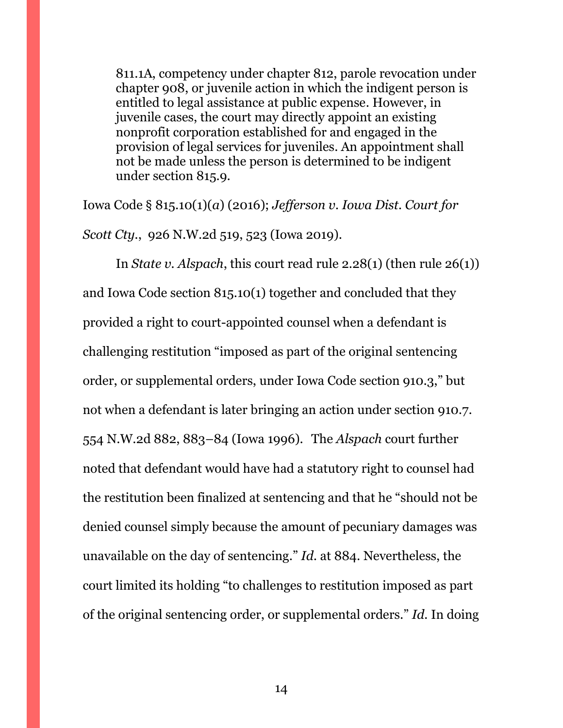811.1A, competency under chapter 812, parole revocation under chapter 908, or juvenile action in which the indigent person is entitled to legal assistance at public expense. However, in juvenile cases, the court may directly appoint an existing nonprofit corporation established for and engaged in the provision of legal services for juveniles. An appointment shall not be made unless the person is determined to be indigent under section 815.9.

Iowa Code § 815.10(1)(*a*) (2016); *Jefferson v. Iowa Dist. Court for Scott Cty.*, 926 N.W.2d 519, 523 (Iowa 2019).

In *State v. Alspach*, this court read rule 2.28(1) (then rule 26(1)) and Iowa Code section 815.10(1) together and concluded that they provided a right to court-appointed counsel when a defendant is challenging restitution "imposed as part of the original sentencing order, or supplemental orders, under Iowa Code section 910.3," but not when a defendant is later bringing an action under section 910.7. 554 N.W.2d 882, 883–84 (Iowa 1996). The *Alspach* court further noted that defendant would have had a statutory right to counsel had the restitution been finalized at sentencing and that he "should not be denied counsel simply because the amount of pecuniary damages was unavailable on the day of sentencing." *Id.* at 884. Nevertheless, the court limited its holding "to challenges to restitution imposed as part of the original sentencing order, or supplemental orders." *Id.* In doing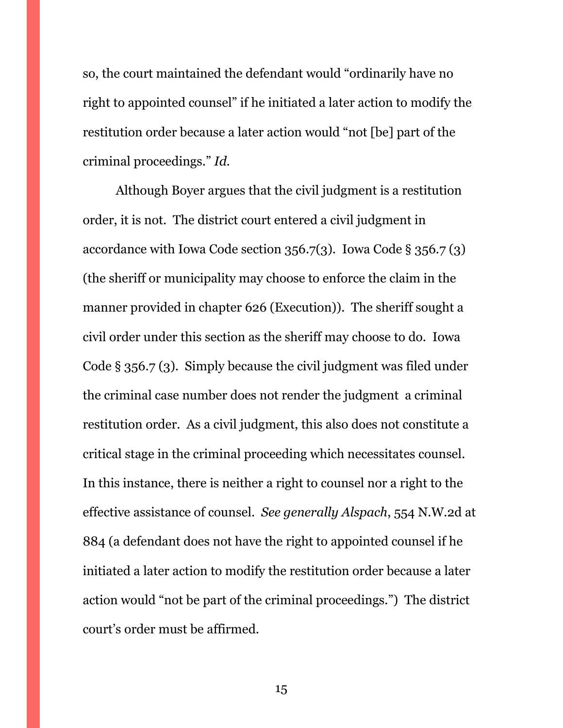so, the court maintained the defendant would "ordinarily have no right to appointed counsel" if he initiated a later action to modify the restitution order because a later action would "not [be] part of the criminal proceedings." *Id.*

Although Boyer argues that the civil judgment is a restitution order, it is not. The district court entered a civil judgment in accordance with Iowa Code section 356.7(3). Iowa Code § 356.7 (3) (the sheriff or municipality may choose to enforce the claim in the manner provided in chapter 626 (Execution)). The sheriff sought a civil order under this section as the sheriff may choose to do. Iowa Code § 356.7 (3). Simply because the civil judgment was filed under the criminal case number does not render the judgment a criminal restitution order. As a civil judgment, this also does not constitute a critical stage in the criminal proceeding which necessitates counsel. In this instance, there is neither a right to counsel nor a right to the effective assistance of counsel. *See generally Alspach*, 554 N.W.2d at 884 (a defendant does not have the right to appointed counsel if he initiated a later action to modify the restitution order because a later action would "not be part of the criminal proceedings.") The district court's order must be affirmed.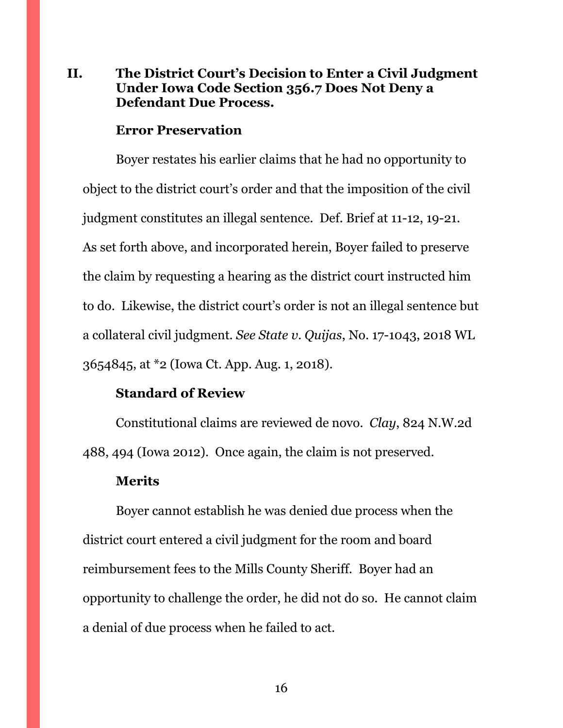# <span id="page-15-0"></span>**II. The District Court's Decision to Enter a Civil Judgment Under Iowa Code Section 356.7 Does Not Deny a Defendant Due Process.**

#### **Error Preservation**

Boyer restates his earlier claims that he had no opportunity to object to the district court's order and that the imposition of the civil judgment constitutes an illegal sentence. Def. Brief at 11-12, 19-21. As set forth above, and incorporated herein, Boyer failed to preserve the claim by requesting a hearing as the district court instructed him to do. Likewise, the district court's order is not an illegal sentence but a collateral civil judgment. *See State v. Quijas*, No. 17-1043, 2018 WL 3654845, at \*2 (Iowa Ct. App. Aug. 1, 2018).

### **Standard of Review**

Constitutional claims are reviewed de novo. *Clay*, 824 N.W.2d 488, 494 (Iowa 2012). Once again, the claim is not preserved.

#### **Merits**

Boyer cannot establish he was denied due process when the district court entered a civil judgment for the room and board reimbursement fees to the Mills County Sheriff. Boyer had an opportunity to challenge the order, he did not do so. He cannot claim a denial of due process when he failed to act.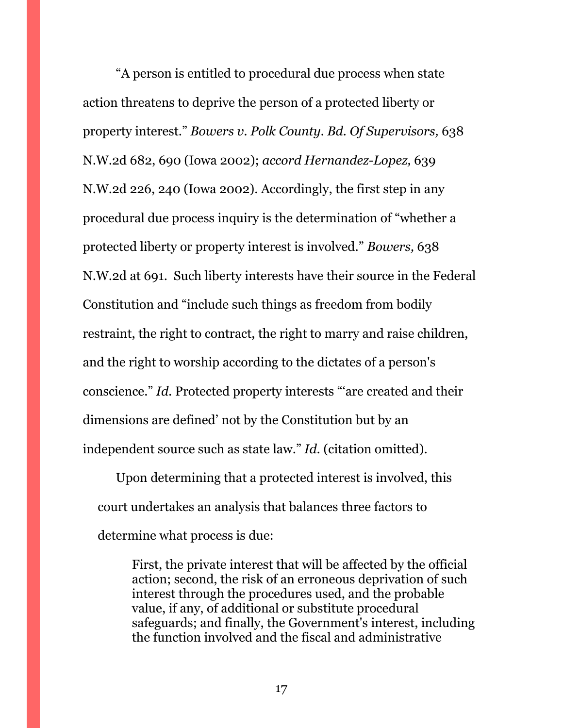"A person is entitled to procedural due process when state action threatens to deprive the person of a protected liberty or property interest." *Bowers v. Polk County. Bd. Of Supervisors,* 638 N.W.2d 682, 690 (Iowa 2002); *accord Hernandez-Lopez,* 639 N.W.2d 226, 240 (Iowa 2002). Accordingly, the first step in any procedural due process inquiry is the determination of "whether a protected liberty or property interest is involved." *Bowers,* 638 N.W.2d at 691. Such liberty interests have their source in the Federal Constitution and "include such things as freedom from bodily restraint, the right to contract, the right to marry and raise children, and the right to worship according to the dictates of a person's conscience." *Id.* Protected property interests "'are created and their dimensions are defined' not by the Constitution but by an independent source such as state law." *Id.* (citation omitted).

Upon determining that a protected interest is involved, this court undertakes an analysis that balances three factors to determine what process is due:

> First, the private interest that will be affected by the official action; second, the risk of an erroneous deprivation of such interest through the procedures used, and the probable value, if any, of additional or substitute procedural safeguards; and finally, the Government's interest, including the function involved and the fiscal and administrative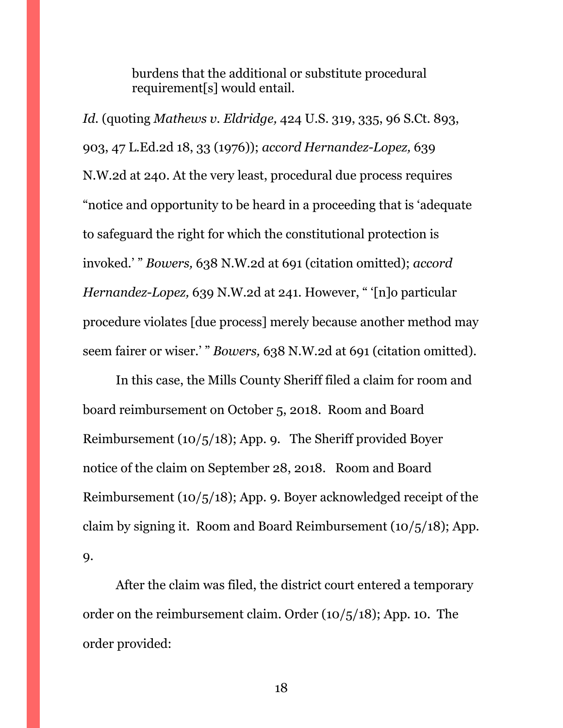burdens that the additional or substitute procedural requirement[s] would entail.

*Id.* (quoting *Mathews v. Eldridge,* 424 U.S. 319, 335, 96 S.Ct. 893, 903, 47 L.Ed.2d 18, 33 (1976)); *accord Hernandez-Lopez,* 639 N.W.2d at 240. At the very least, procedural due process requires "notice and opportunity to be heard in a proceeding that is 'adequate to safeguard the right for which the constitutional protection is invoked.' " *Bowers,* 638 N.W.2d at 691 (citation omitted); *accord Hernandez-Lopez,* 639 N.W.2d at 241. However, " '[n]o particular procedure violates [due process] merely because another method may seem fairer or wiser.' " *Bowers,* 638 N.W.2d at 691 (citation omitted).

In this case, the Mills County Sheriff filed a claim for room and board reimbursement on October 5, 2018. Room and Board Reimbursement (10/5/18); App. 9. The Sheriff provided Boyer notice of the claim on September 28, 2018. Room and Board Reimbursement (10/5/18); App. 9. Boyer acknowledged receipt of the claim by signing it. Room and Board Reimbursement (10/5/18); App. 9.

After the claim was filed, the district court entered a temporary order on the reimbursement claim. Order (10/5/18); App. 10. The order provided: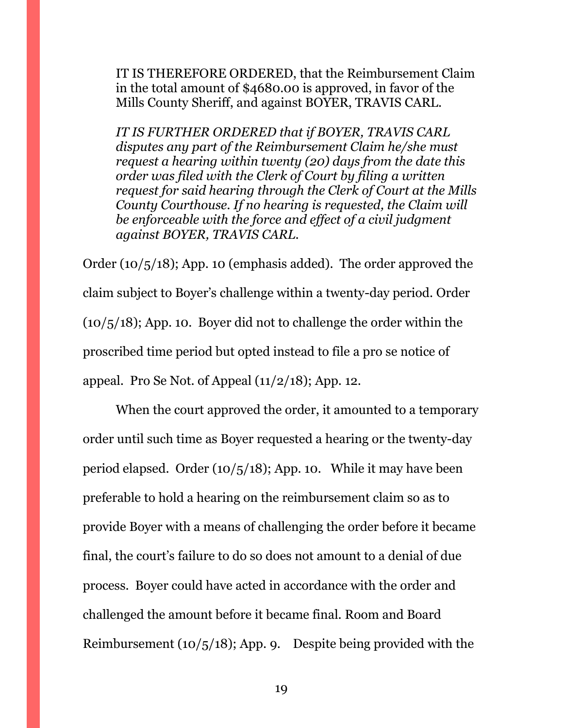IT IS THEREFORE ORDERED, that the Reimbursement Claim in the total amount of \$4680.00 is approved, in favor of the Mills County Sheriff, and against BOYER, TRAVIS CARL.

*IT IS FURTHER ORDERED that if BOYER, TRAVIS CARL disputes any part of the Reimbursement Claim he/she must request a hearing within twenty (20) days from the date this order was filed with the Clerk of Court by filing a written request for said hearing through the Clerk of Court at the Mills County Courthouse. If no hearing is requested, the Claim will be enforceable with the force and effect of a civil judgment against BOYER, TRAVIS CARL.*

Order (10/5/18); App. 10 (emphasis added). The order approved the claim subject to Boyer's challenge within a twenty-day period. Order  $(10/5/18)$ ; App. 10. Boyer did not to challenge the order within the proscribed time period but opted instead to file a pro se notice of appeal. Pro Se Not. of Appeal  $(11/2/18)$ ; App. 12.

When the court approved the order, it amounted to a temporary order until such time as Boyer requested a hearing or the twenty-day period elapsed. Order (10/5/18); App. 10. While it may have been preferable to hold a hearing on the reimbursement claim so as to provide Boyer with a means of challenging the order before it became final, the court's failure to do so does not amount to a denial of due process. Boyer could have acted in accordance with the order and challenged the amount before it became final. Room and Board Reimbursement  $(10/5/18)$ ; App. 9. Despite being provided with the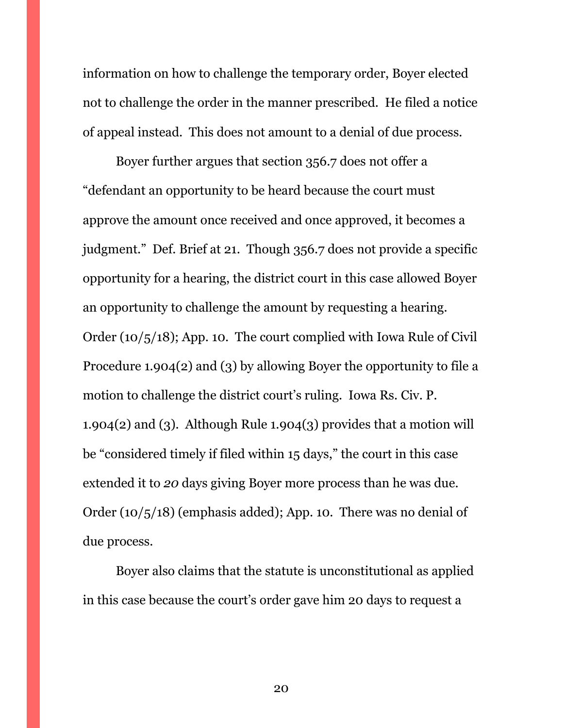information on how to challenge the temporary order, Boyer elected not to challenge the order in the manner prescribed. He filed a notice of appeal instead. This does not amount to a denial of due process.

Boyer further argues that section 356.7 does not offer a "defendant an opportunity to be heard because the court must approve the amount once received and once approved, it becomes a judgment." Def. Brief at 21. Though 356.7 does not provide a specific opportunity for a hearing, the district court in this case allowed Boyer an opportunity to challenge the amount by requesting a hearing. Order (10/5/18); App. 10. The court complied with Iowa Rule of Civil Procedure 1.904(2) and (3) by allowing Boyer the opportunity to file a motion to challenge the district court's ruling. Iowa Rs. Civ. P. 1.904(2) and (3). Although Rule 1.904(3) provides that a motion will be "considered timely if filed within 15 days," the court in this case extended it to *20* days giving Boyer more process than he was due. Order (10/5/18) (emphasis added); App. 10. There was no denial of due process.

Boyer also claims that the statute is unconstitutional as applied in this case because the court's order gave him 20 days to request a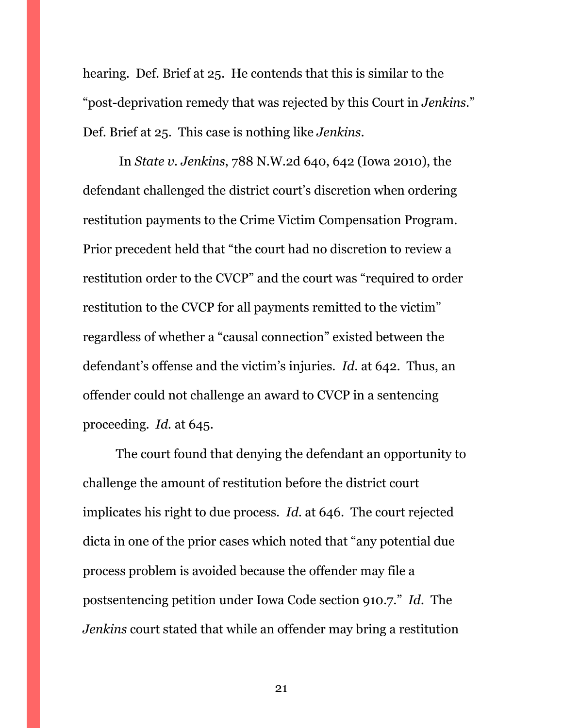hearing. Def. Brief at 25. He contends that this is similar to the "post-deprivation remedy that was rejected by this Court in *Jenkins*." Def. Brief at 25. This case is nothing like *Jenkins*.

In *State v. Jenkins*, 788 N.W.2d 640, 642 (Iowa 2010), the defendant challenged the district court's discretion when ordering restitution payments to the Crime Victim Compensation Program. Prior precedent held that "the court had no discretion to review a restitution order to the CVCP" and the court was "required to order restitution to the CVCP for all payments remitted to the victim" regardless of whether a "causal connection" existed between the defendant's offense and the victim's injuries. *Id*. at 642. Thus, an offender could not challenge an award to CVCP in a sentencing proceeding. *Id.* at 645.

The court found that denying the defendant an opportunity to challenge the amount of restitution before the district court implicates his right to due process. *Id*. at 646. The court rejected dicta in one of the prior cases which noted that "any potential due process problem is avoided because the offender may file a postsentencing petition under Iowa Code section 910.7." *Id.* The *Jenkins* court stated that while an offender may bring a restitution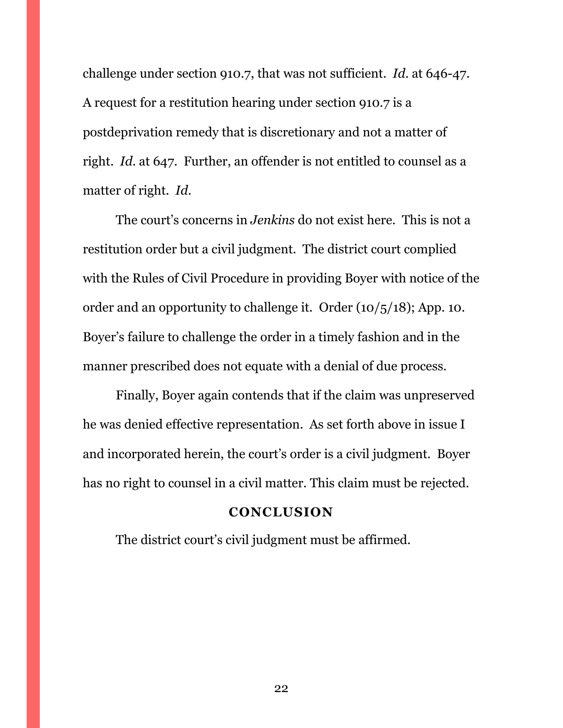challenge under section 910.7, that was not sufficient. *Id*. at 646-47. A request for a restitution hearing under section 910.7 is a postdeprivation remedy that is discretionary and not a matter of right. *Id*. at 647. Further, an offender is not entitled to counsel as a matter of right. *Id*.

The court's concerns in *Jenkins* do not exist here. This is not a restitution order but a civil judgment. The district court complied with the Rules of Civil Procedure in providing Boyer with notice of the order and an opportunity to challenge it. Order (10/5/18); App. 10. Boyer's failure to challenge the order in a timely fashion and in the manner prescribed does not equate with a denial of due process.

Finally, Boyer again contends that if the claim was unpreserved he was denied effective representation. As set forth above in issue I and incorporated herein, the court's order is a civil judgment. Boyer has no right to counsel in a civil matter. This claim must be rejected.

#### **CONCLUSION**

<span id="page-21-1"></span><span id="page-21-0"></span>The district court's civil judgment must be affirmed.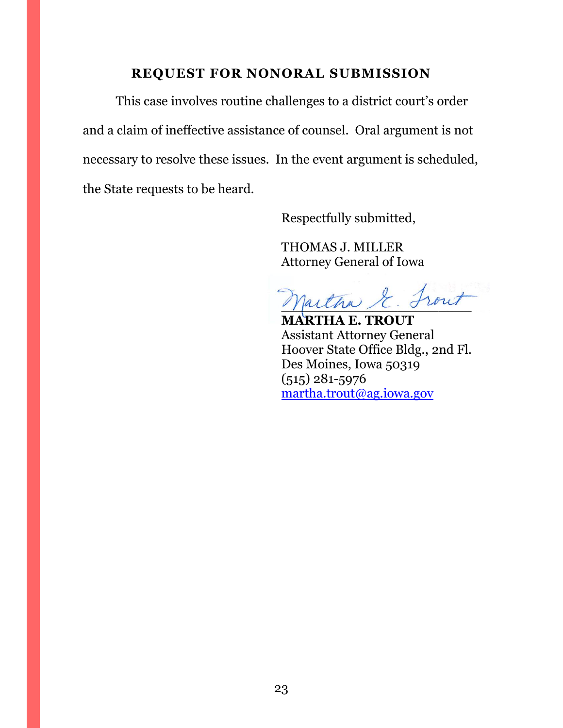## **REQUEST FOR NONORAL SUBMISSION**

This case involves routine challenges to a district court's order and a claim of ineffective assistance of counsel. Oral argument is not necessary to resolve these issues. In the event argument is scheduled, the State requests to be heard.

Respectfully submitted,

THOMAS J. MILLER Attorney General of Iowa

partha & Front

**MARTHA E. TROUT** Assistant Attorney General Hoover State Office Bldg., 2nd Fl. Des Moines, Iowa 50319 (515) 281-5976 [martha.trout@ag.iowa.gov](mailto:martha.trout@ag.iowa.gov)